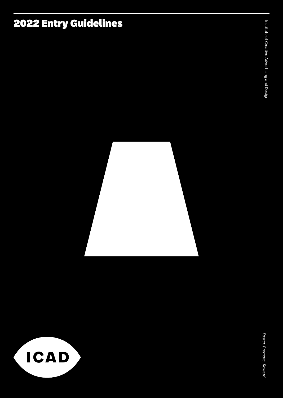# 2022 Entry Guidelines



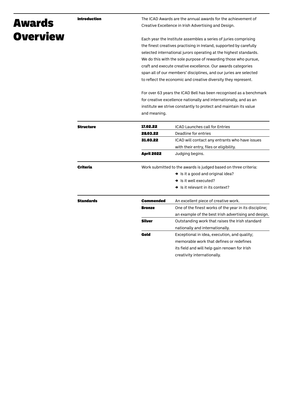# Introduction

# Awards **Overview**

The ICAD Awards are the annual awards for the achievement of Creative Excellence in Irish Advertising and Design.

Each year the Institute assembles a series of juries comprising the finest creatives practising in Ireland, supported by carefully selected international jurors operating at the highest standards. We do this with the sole purpose of rewarding those who pursue, craft and execute creative excellence. Our awards categories span all of our members' disciplines, and our juries are selected to reflect the economic and creative diversity they represent.

For over 63 years the ICAD Bell has been recognised as a benchmark for creative excellence nationally and internationally, and as an institute we strive constantly to protect and maintain its value and meaning.

| <b>Structure</b> | 17.02.22                                                        | <b>ICAD Launches call for Entries</b>                  |  |
|------------------|-----------------------------------------------------------------|--------------------------------------------------------|--|
|                  | 28.03.22                                                        | Deadline for entries                                   |  |
|                  | 31.03.22                                                        | ICAD will contact any entrants who have issues         |  |
|                  |                                                                 | with their entry, files or eligibility.                |  |
|                  | <b>April 2022</b>                                               | Judging begins.                                        |  |
| Criteria         | Work submitted to the awards is judged based on three criteria: |                                                        |  |
|                  |                                                                 | $\rightarrow$ Is it a good and original idea?          |  |
|                  |                                                                 | $\rightarrow$ Is it well executed?                     |  |
|                  |                                                                 | $\rightarrow$ Is it relevant in its context?           |  |
| <b>Standards</b> | Commended                                                       | An excellent piece of creative work.                   |  |
|                  | <b>Bronze</b>                                                   | One of the finest works of the year in its discipline; |  |
|                  |                                                                 | an example of the best Irish advertising and design.   |  |
|                  | <b>Silver</b>                                                   | Outstanding work that raises the Irish standard        |  |
|                  |                                                                 | nationally and internationally.                        |  |
|                  | Gold                                                            | Exceptional in idea, execution, and quality;           |  |
|                  |                                                                 | memorable work that defines or redefines               |  |
|                  |                                                                 | its field and will help gain renown for Irish          |  |
|                  |                                                                 | creativity internationally.                            |  |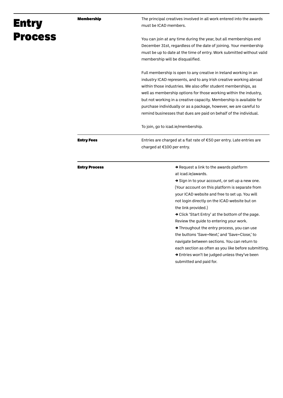| <b>Entry</b>   | <b>Membership</b>    | The principal creatives involved in all work entered into the awards<br>must be ICAD members.                                                                                                                                                                                                                                                                                                                                                                                                                                                                                                                                                                                                                                    |
|----------------|----------------------|----------------------------------------------------------------------------------------------------------------------------------------------------------------------------------------------------------------------------------------------------------------------------------------------------------------------------------------------------------------------------------------------------------------------------------------------------------------------------------------------------------------------------------------------------------------------------------------------------------------------------------------------------------------------------------------------------------------------------------|
| <b>Process</b> |                      | You can join at any time during the year, but all memberships end<br>December 31st, regardless of the date of joining. Your membership<br>must be up to date at the time of entry. Work submitted without valid<br>membership will be disqualified.                                                                                                                                                                                                                                                                                                                                                                                                                                                                              |
|                |                      | Full membership is open to any creative in Ireland working in an<br>industry ICAD represents, and to any Irish creative working abroad<br>within those industries. We also offer student memberships, as<br>well as membership options for those working within the industry,<br>but not working in a creative capacity. Membership is available for<br>purchase individually or as a package, however, we are careful to<br>remind businesses that dues are paid on behalf of the individual.                                                                                                                                                                                                                                   |
|                |                      | To join, go to icad.ie/membership.                                                                                                                                                                                                                                                                                                                                                                                                                                                                                                                                                                                                                                                                                               |
|                | <b>Entry Fees</b>    | Entries are charged at a flat rate of €50 per entry. Late entries are<br>charged at €100 per entry.                                                                                                                                                                                                                                                                                                                                                                                                                                                                                                                                                                                                                              |
|                | <b>Entry Process</b> | $\rightarrow$ Request a link to the awards platform<br>at icad.ie/awards.<br>$\rightarrow$ Sign in to your account, or set up a new one.<br>(Your account on this platform is separate from<br>your ICAD website and free to set up. You will<br>not login directly on the ICAD website but on<br>the link provided.)<br>$\rightarrow$ Click 'Start Entry' at the bottom of the page.<br>Review the guide to entering your work.<br>$\rightarrow$ Throughout the entry process, you can use<br>the buttons 'Save+Next,' and 'Save+Close,' to<br>navigate between sections. You can return to<br>each section as often as you like before submitting.<br>→ Entries won't be judged unless they've been<br>submitted and paid for. |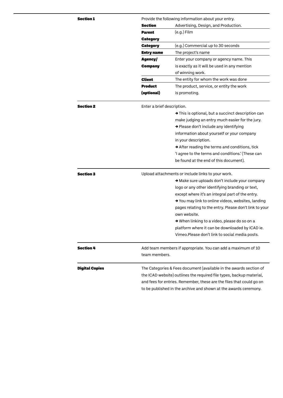| <b>Section 1</b>      | Provide the following information about your entry.                  |                                                            |  |
|-----------------------|----------------------------------------------------------------------|------------------------------------------------------------|--|
|                       | <b>Section</b>                                                       | Advertising, Design, and Production.                       |  |
|                       | Parent                                                               | $(e.g.)$ Film                                              |  |
|                       | <b>Category</b>                                                      |                                                            |  |
|                       | <b>Category</b>                                                      | (e.g.) Commercial up to 30 seconds                         |  |
|                       | <b>Entry name</b>                                                    | The project's name                                         |  |
|                       | Agency/                                                              | Enter your company or agency name. This                    |  |
|                       | <b>Company</b>                                                       | is exactly as it will be used in any mention               |  |
|                       |                                                                      | of winning work.                                           |  |
|                       | <b>Client</b>                                                        | The entity for whom the work was done                      |  |
|                       | <b>Product</b>                                                       | The product, service, or entity the work                   |  |
|                       | (optional)                                                           | is promoting.                                              |  |
| <b>Section 2</b>      | Enter a brief description.                                           |                                                            |  |
|                       |                                                                      | → This is optional, but a succinct description can         |  |
|                       |                                                                      | make judging an entry much easier for the jury.            |  |
|                       |                                                                      | → Please don't include any identifying                     |  |
|                       |                                                                      | information about yourself or your company                 |  |
|                       |                                                                      | in your description.                                       |  |
|                       |                                                                      | $\rightarrow$ After reading the terms and conditions, tick |  |
|                       |                                                                      | 'I agree to the terms and conditions.' (These can          |  |
|                       |                                                                      | be found at the end of this document).                     |  |
| <b>Section 3</b>      | Upload attachments or include links to your work.                    |                                                            |  |
|                       |                                                                      | → Make sure uploads don't include your company             |  |
|                       |                                                                      | logo or any other identifying branding or text,            |  |
|                       |                                                                      | except where it's an integral part of the entry.           |  |
|                       |                                                                      | → You may link to online videos, websites, landing         |  |
|                       |                                                                      | pages relating to the entry. Please don't link to your     |  |
|                       |                                                                      | own website.                                               |  |
|                       |                                                                      | → When linking to a video, please do so on a               |  |
|                       |                                                                      | platform where it can be downloaded by ICAD ie.            |  |
|                       |                                                                      | Vimeo. Please don't link to social media posts.            |  |
| <b>Section 4</b>      | Add team members if appropriate. You can add a maximum of 10         |                                                            |  |
|                       | team members.                                                        |                                                            |  |
| <b>Digital Copies</b> | The Categories & Fees document (available in the awards section of   |                                                            |  |
|                       | the ICAD website) outlines the required file types, backup material, |                                                            |  |
|                       | and fees for entries. Remember, these are the files that could go on |                                                            |  |

to be published in the archive and shown at the awards ceremony.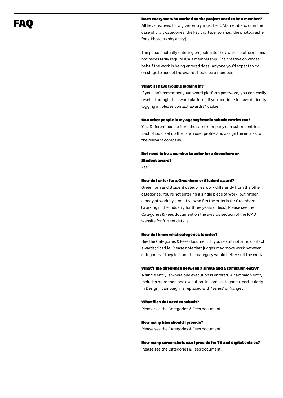# FAQ

# Does everyone who worked on the project need to be a member?

All key creatives for a given entry must be ICAD members, or in the case of craft categories, the key craftsperson (i.e., the photographer for a Photography entry).

The person actually entering projects into the awards platform does not necessarily require ICAD membership. The creative on whose behalf the work is being entered does. Anyone you'd expect to go on stage to accept the award should be a member.

# What if I have trouble logging in?

If you can't remember your award platform password, you can easily reset it through the award platform. If you continue to have difficulty logging in, please contact awards@icad.ie

# Can other people in my agency/studio submit entries too?

Yes. Different people from the same company can submit entries. Each should set up their own user profile and assign the entries to the relevant company.

# Do I need to be a member to enter for a Greenhorn or Student award?

Yes.

## How do I enter for a Greenhorn or Student award?

Greenhorn and Student categories work differently from the other categories. You're not entering a single piece of work, but rather a body of work by a creative who fits the criteria for Greenhorn (working in the industry for three years or less). Please see the Categories & Fees document on the awards section of the ICAD website for further details.

#### How do I know what categories to enter?

See the Categories & Fees document. If you're still not sure, contact awards@icad.ie. Please note that judges may move work between categories if they feel another category would better suit the work.

### What's the difference between a single and a campaign entry?

A single entry is where one execution is entered. A campaign entry includes more than one execution. In some categories, particularly in Design, 'campaign' is replaced with 'series' or 'range'.

### What files do I need to submit?

Please see the Categories & Fees document.

## How many files should I provide?

Please see the Categories & Fees document.

# How many screenshots can I provide for TV and digital entries? Please see the Categories & Fees document.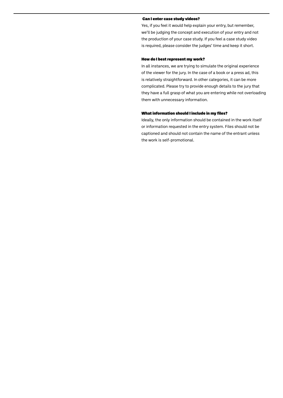# Can I enter case study videos?

Yes, if you feel it would help explain your entry, but remember, we'll be judging the concept and execution of your entry and not the production of your case study. If you feel a case study video is required, please consider the judges' time and keep it short.

### How do I best represent my work?

In all instances, we are trying to simulate the original experience of the viewer for the jury. In the case of a book or a press ad, this is relatively straightforward. In other categories, it can be more complicated. Please try to provide enough details to the jury that they have a full grasp of what you are entering while not overloading them with unnecessary information.

# What information should I include in my files?

Ideally, the only information should be contained in the work itself or information requested in the entry system. Files should not be captioned and should not contain the name of the entrant unless the work is self-promotional.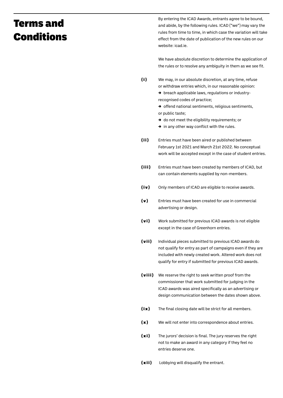# Terms and Conditions

By entering the ICAD Awards, entrants agree to be bound, and abide, by the following rules. ICAD ("we") may vary the rules from time to time, in which case the variation will take effect from the date of publication of the new rules on our website: icad.ie.

We have absolute discretion to determine the application of the rules or to resolve any ambiguity in them as we see fit.

We may, in our absolute discretion, at any time, refuse or withdraw entries which, in our reasonable opinion: (i)

> → breach applicable laws, regulations or industryrecognised codes of practice;

- → offend national sentiments, religious sentiments, or public taste;
- → do not meet the eligibility requirements; or
- $\rightarrow$  in any other way conflict with the rules.
- Entries must have been aired or published between February 1st 2021 and March 21st 2022. No conceptual work will be accepted except in the case of student entries. (ii)
- Entries must have been created by members of ICAD, but can contain elements supplied by non-members. (iii)
- Only members of ICAD are eligible to receive awards. (iv)
- Entries must have been created for use in commercial advertising or design. (v)
- Work submitted for previous ICAD awards is not eligible except in the case of Greenhorn entries. (vi)
- Individual pieces submitted to previous ICAD awards do not qualify for entry as part of campaigns even if they are included with newly created work. Altered work does not qualify for entry if submitted for previous ICAD awards. (vii)
- $(viii)$  We reserve the right to seek written proof from the commissioner that work submitted for judging in the ICAD awards was aired specifically as an advertising or design communication between the dates shown above.
- The final closing date will be strict for all members. (ix)
- We will not enter into correspondence about entries. (x)
- The jurors' decision is final. The jury reserves the right not to make an award in any category if they feel no entries deserve one. (xi)
- Lobbying will disqualify the entrant. (xii)